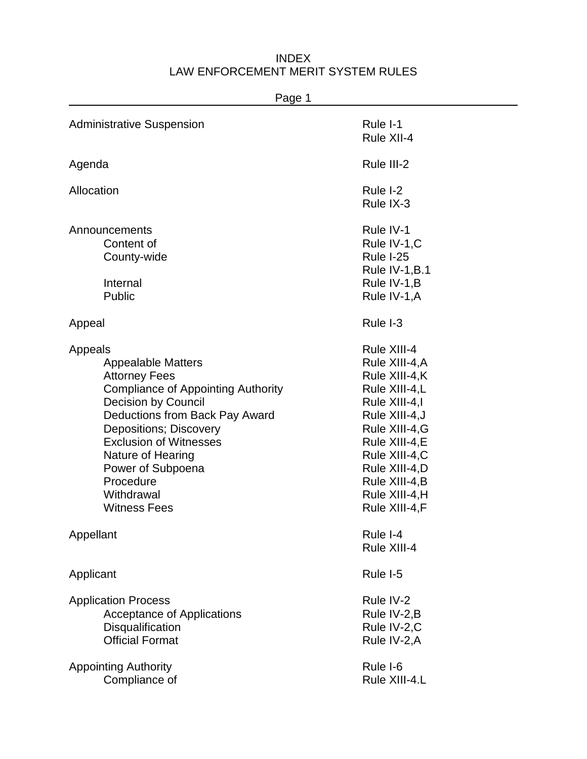| Page 1                                                                                                                                                                                                                                                                                                                                  |                                                                                                                                                                                                                              |
|-----------------------------------------------------------------------------------------------------------------------------------------------------------------------------------------------------------------------------------------------------------------------------------------------------------------------------------------|------------------------------------------------------------------------------------------------------------------------------------------------------------------------------------------------------------------------------|
| <b>Administrative Suspension</b>                                                                                                                                                                                                                                                                                                        | Rule I-1<br>Rule XII-4                                                                                                                                                                                                       |
| Agenda                                                                                                                                                                                                                                                                                                                                  | Rule III-2                                                                                                                                                                                                                   |
| Allocation                                                                                                                                                                                                                                                                                                                              | Rule I-2<br>Rule IX-3                                                                                                                                                                                                        |
| Announcements<br>Content of<br>County-wide<br>Internal<br>Public                                                                                                                                                                                                                                                                        | Rule IV-1<br>Rule IV-1,C<br>Rule I-25<br>Rule IV-1, $B.1$<br>Rule IV-1, B<br>Rule IV-1, A                                                                                                                                    |
| Appeal                                                                                                                                                                                                                                                                                                                                  | Rule I-3                                                                                                                                                                                                                     |
| Appeals<br><b>Appealable Matters</b><br><b>Attorney Fees</b><br><b>Compliance of Appointing Authority</b><br><b>Decision by Council</b><br>Deductions from Back Pay Award<br><b>Depositions; Discovery</b><br><b>Exclusion of Witnesses</b><br>Nature of Hearing<br>Power of Subpoena<br>Procedure<br>Withdrawal<br><b>Witness Fees</b> | Rule XIII-4<br>Rule XIII-4, A<br>Rule XIII-4,K<br>Rule XIII-4,L<br>Rule XIII-4,I<br>Rule XIII-4, J<br>Rule XIII-4, G<br>Rule XIII-4, E<br>Rule XIII-4,C<br>Rule XIII-4,D<br>Rule XIII-4, B<br>Rule XIII-4,H<br>Rule XIII-4,F |
| Appellant                                                                                                                                                                                                                                                                                                                               | Rule I-4<br>Rule XIII-4                                                                                                                                                                                                      |
| Applicant                                                                                                                                                                                                                                                                                                                               | Rule I-5                                                                                                                                                                                                                     |
| <b>Application Process</b><br><b>Acceptance of Applications</b><br>Disqualification<br><b>Official Format</b>                                                                                                                                                                                                                           | Rule IV-2<br>Rule IV-2,B<br>Rule IV-2,C<br>Rule IV-2,A                                                                                                                                                                       |
| <b>Appointing Authority</b><br>Compliance of                                                                                                                                                                                                                                                                                            | Rule I-6<br>Rule XIII-4.L                                                                                                                                                                                                    |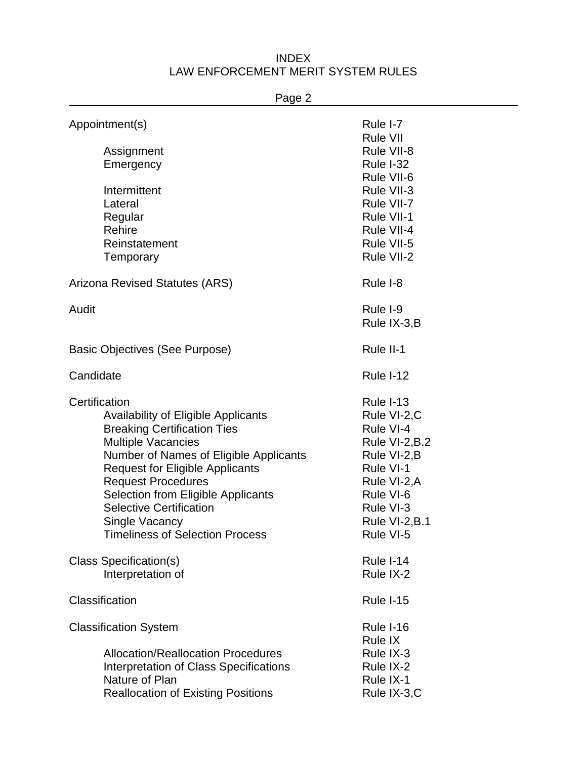| Page 2                                    |                  |
|-------------------------------------------|------------------|
| Appointment(s)                            | Rule I-7         |
|                                           | <b>Rule VII</b>  |
| Assignment                                | Rule VII-8       |
| Emergency                                 | <b>Rule I-32</b> |
|                                           | Rule VII-6       |
| Intermittent                              | Rule VII-3       |
| Lateral                                   | Rule VII-7       |
| Regular                                   | Rule VII-1       |
| Rehire                                    | Rule VII-4       |
| Reinstatement                             | Rule VII-5       |
| Temporary                                 | Rule VII-2       |
| Arizona Revised Statutes (ARS)            | Rule I-8         |
| Audit                                     | Rule I-9         |
|                                           | Rule IX-3,B      |
| Basic Objectives (See Purpose)            | Rule II-1        |
| Candidate                                 | Rule I-12        |
| Certification                             | Rule I-13        |
| Availability of Eligible Applicants       | Rule VI-2,C      |
| <b>Breaking Certification Ties</b>        | Rule VI-4        |
| <b>Multiple Vacancies</b>                 | Rule VI-2, B.2   |
| Number of Names of Eligible Applicants    | Rule VI-2, B     |
| <b>Request for Eligible Applicants</b>    | Rule VI-1        |
| <b>Request Procedures</b>                 | Rule VI-2, A     |
| Selection from Eligible Applicants        | Rule VI-6        |
| <b>Selective Certification</b>            | Rule VI-3        |
| Single Vacancy                            | Rule VI-2, B.1   |
| <b>Timeliness of Selection Process</b>    | Rule VI-5        |
| <b>Class Specification(s)</b>             | Rule I-14        |
| Interpretation of                         | Rule IX-2        |
| Classification                            | Rule I-15        |
| <b>Classification System</b>              | Rule I-16        |
|                                           | <b>Rule IX</b>   |
| <b>Allocation/Reallocation Procedures</b> | Rule IX-3        |
| Interpretation of Class Specifications    | Rule IX-2        |
| Nature of Plan                            | Rule IX-1        |

Reallocation of Existing Positions **Rule IX-3,C**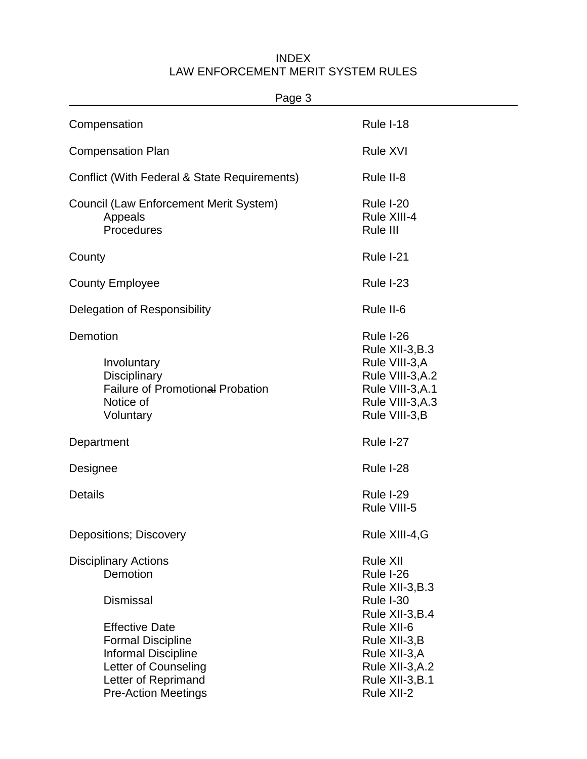| Page 3                                                                                                                                                |                                                                                                                              |  |
|-------------------------------------------------------------------------------------------------------------------------------------------------------|------------------------------------------------------------------------------------------------------------------------------|--|
| Compensation                                                                                                                                          | Rule I-18                                                                                                                    |  |
| <b>Compensation Plan</b>                                                                                                                              | <b>Rule XVI</b>                                                                                                              |  |
| Conflict (With Federal & State Requirements)                                                                                                          | Rule II-8                                                                                                                    |  |
| Council (Law Enforcement Merit System)<br>Appeals<br>Procedures                                                                                       | Rule I-20<br>Rule XIII-4<br>Rule III                                                                                         |  |
| County                                                                                                                                                | Rule I-21                                                                                                                    |  |
| <b>County Employee</b>                                                                                                                                | Rule I-23                                                                                                                    |  |
| Delegation of Responsibility                                                                                                                          | Rule II-6                                                                                                                    |  |
| Demotion<br>Involuntary<br><b>Disciplinary</b><br><b>Failure of Promotional Probation</b><br>Notice of<br>Voluntary                                   | Rule I-26<br>Rule XII-3, B.3<br>Rule VIII-3, A<br>Rule VIII-3, A.2<br>Rule VIII-3, A.1<br>Rule VIII-3, A.3<br>Rule VIII-3, B |  |
| Department                                                                                                                                            | Rule I-27                                                                                                                    |  |
| Designee                                                                                                                                              | Rule I-28                                                                                                                    |  |
| <b>Details</b>                                                                                                                                        | Rule I-29<br>Rule VIII-5                                                                                                     |  |
| Depositions; Discovery                                                                                                                                | Rule XIII-4, G                                                                                                               |  |
| <b>Disciplinary Actions</b><br>Demotion                                                                                                               | <b>Rule XII</b><br>Rule I-26<br>Rule XII-3, B.3                                                                              |  |
| <b>Dismissal</b>                                                                                                                                      | Rule I-30<br>Rule XII-3, B.4                                                                                                 |  |
| <b>Effective Date</b><br><b>Formal Discipline</b><br>Informal Discipline<br>Letter of Counseling<br>Letter of Reprimand<br><b>Pre-Action Meetings</b> | Rule XII-6<br>Rule XII-3, B<br>Rule XII-3,A<br>Rule XII-3, A.2<br>Rule XII-3, B.1<br>Rule XII-2                              |  |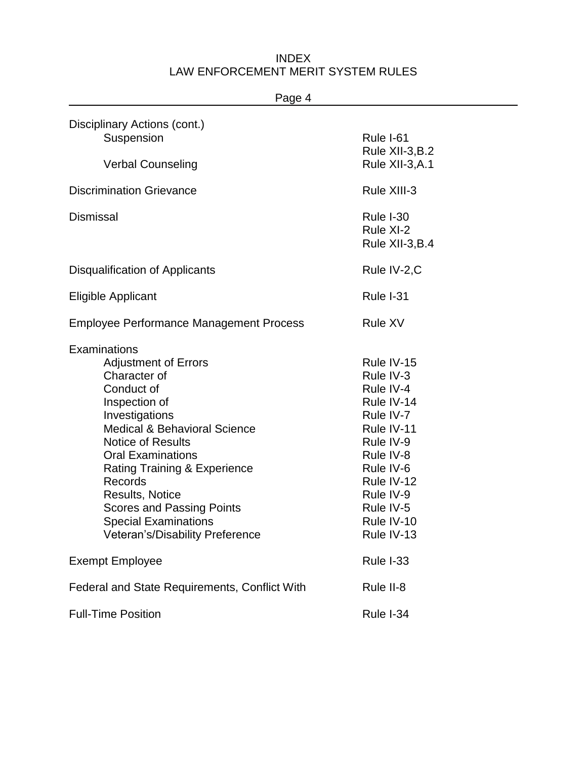| Page 4                                                                                                                                                                                                                                                                                                                                                                                                |                                                                                                                                                                                          |
|-------------------------------------------------------------------------------------------------------------------------------------------------------------------------------------------------------------------------------------------------------------------------------------------------------------------------------------------------------------------------------------------------------|------------------------------------------------------------------------------------------------------------------------------------------------------------------------------------------|
| Disciplinary Actions (cont.)<br>Suspension<br><b>Verbal Counseling</b>                                                                                                                                                                                                                                                                                                                                | Rule I-61<br>Rule XII-3, B.2<br>Rule XII-3, A.1                                                                                                                                          |
|                                                                                                                                                                                                                                                                                                                                                                                                       |                                                                                                                                                                                          |
| <b>Discrimination Grievance</b>                                                                                                                                                                                                                                                                                                                                                                       | Rule XIII-3                                                                                                                                                                              |
| <b>Dismissal</b>                                                                                                                                                                                                                                                                                                                                                                                      | Rule I-30<br>Rule XI-2<br>Rule XII-3, B.4                                                                                                                                                |
| Disqualification of Applicants                                                                                                                                                                                                                                                                                                                                                                        | Rule IV-2,C                                                                                                                                                                              |
| <b>Eligible Applicant</b>                                                                                                                                                                                                                                                                                                                                                                             | Rule I-31                                                                                                                                                                                |
| <b>Employee Performance Management Process</b>                                                                                                                                                                                                                                                                                                                                                        | <b>Rule XV</b>                                                                                                                                                                           |
| Examinations<br><b>Adjustment of Errors</b><br>Character of<br>Conduct of<br>Inspection of<br>Investigations<br><b>Medical &amp; Behavioral Science</b><br><b>Notice of Results</b><br><b>Oral Examinations</b><br><b>Rating Training &amp; Experience</b><br>Records<br><b>Results, Notice</b><br><b>Scores and Passing Points</b><br><b>Special Examinations</b><br>Veteran's/Disability Preference | Rule IV-15<br>Rule IV-3<br>Rule IV-4<br>Rule IV-14<br>Rule IV-7<br>Rule IV-11<br>Rule IV-9<br>Rule IV-8<br>Rule IV-6<br>Rule IV-12<br>Rule IV-9<br>Rule IV-5<br>Rule IV-10<br>Rule IV-13 |
| <b>Exempt Employee</b>                                                                                                                                                                                                                                                                                                                                                                                | <b>Rule I-33</b>                                                                                                                                                                         |
| Federal and State Requirements, Conflict With                                                                                                                                                                                                                                                                                                                                                         | Rule II-8                                                                                                                                                                                |
| <b>Full-Time Position</b>                                                                                                                                                                                                                                                                                                                                                                             | Rule I-34                                                                                                                                                                                |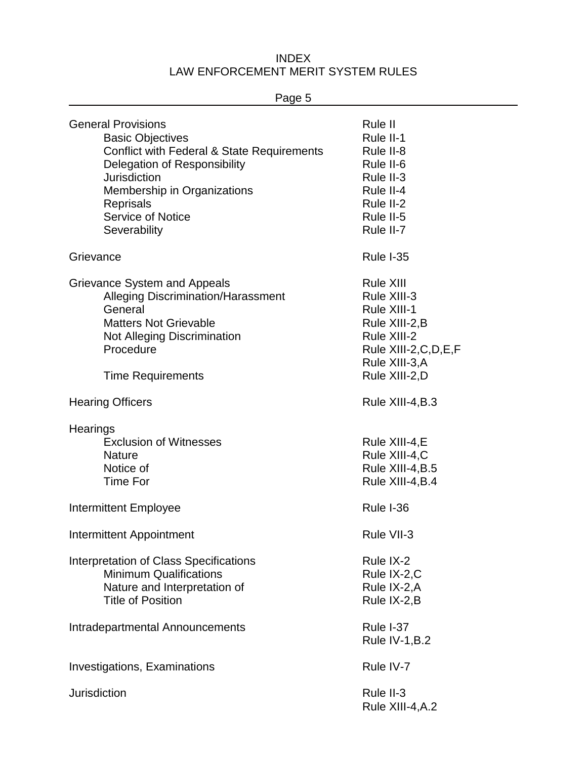Page 5 General Provisions **Rule II Rule II Rule II Rule II** Basic Objectives **Rule II-1** Rule II-1 Conflict with Federal & State Requirements Rule II-8 Delegation of Responsibility **Rule II-6** Rule II-6 Jurisdiction **Rule II-3** Membership in Organizations **Rule II-4** Rule II-4 Reprisals **Reprisals** Rule II-2 Service of Notice **Rule II-5 Rule II-5** Severability **Rule II-7 Rule II-7** Grievance **Rule I-35** and Rule I-35 Grievance System and Appeals **Rule XIII** Rule XIII Alleging Discrimination/Harassment Rule XIII-3 General **General** Rule XIII-1 Matters Not Grievable **Rule XIII-2, B** Not Alleging Discrimination Rule XIII-2 Procedure Rule XIII-2, C, D, E, F Rule XIII-3,A Time Requirements **Rule XIII-2,D** Hearing Officers **Rule XIII-4, B.3 Hearings** Exclusion of Witnesses Rule XIII-4, E Nature **Nature Rule XIII-4, C** Notice of Rule XIII-4, B.5 Time For Rule XIII-4, B.4 Intermittent Employee Rule I-36 Intermittent Appointment **Rule VII-3** Rule VII-3 Interpretation of Class Specifications **Rule IX-2** Rule IX-2 Minimum Qualifications **Rule IX-2,C** Rule IX-2,C Nature and Interpretation of Rule IX-2, Rule IX-2, A Title of Position **Rule IX-2,B** Intradepartmental Announcements Rule I-37 Rule IV-1,B.2 Investigations, Examinations **Rule IV-7** Rule IV-7 Jurisdiction Rule II-3 Rule XIII-4,A.2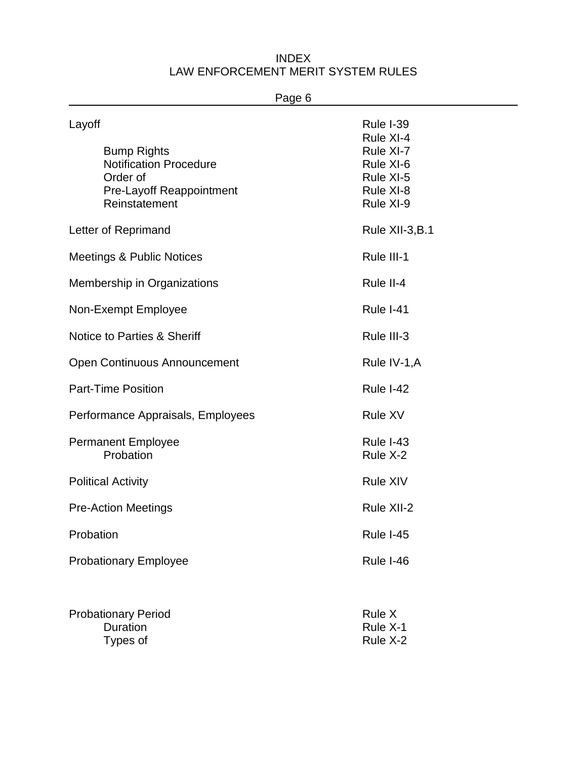| Page 6                                                                                                                        |                                                                                         |
|-------------------------------------------------------------------------------------------------------------------------------|-----------------------------------------------------------------------------------------|
| Layoff<br><b>Bump Rights</b><br><b>Notification Procedure</b><br>Order of<br><b>Pre-Layoff Reappointment</b><br>Reinstatement | Rule I-39<br>Rule XI-4<br>Rule XI-7<br>Rule XI-6<br>Rule XI-5<br>Rule XI-8<br>Rule XI-9 |
| Letter of Reprimand                                                                                                           | Rule XII-3, B.1                                                                         |
| Meetings & Public Notices                                                                                                     | Rule III-1                                                                              |
| Membership in Organizations                                                                                                   | Rule II-4                                                                               |
| Non-Exempt Employee                                                                                                           | Rule I-41                                                                               |
| Notice to Parties & Sheriff                                                                                                   | Rule III-3                                                                              |
| <b>Open Continuous Announcement</b>                                                                                           | Rule IV-1, A                                                                            |
| <b>Part-Time Position</b>                                                                                                     | Rule I-42                                                                               |
| Performance Appraisals, Employees                                                                                             | <b>Rule XV</b>                                                                          |
| <b>Permanent Employee</b><br>Probation                                                                                        | <b>Rule I-43</b><br>Rule X-2                                                            |
| <b>Political Activity</b>                                                                                                     | <b>Rule XIV</b>                                                                         |
| <b>Pre-Action Meetings</b>                                                                                                    | Rule XII-2                                                                              |
| Probation                                                                                                                     | <b>Rule I-45</b>                                                                        |
| <b>Probationary Employee</b>                                                                                                  | Rule I-46                                                                               |
|                                                                                                                               |                                                                                         |

| <b>Probationary Period</b> | Rule X   |
|----------------------------|----------|
| <b>Duration</b>            | Rule X-1 |
| Types of                   | Rule X-2 |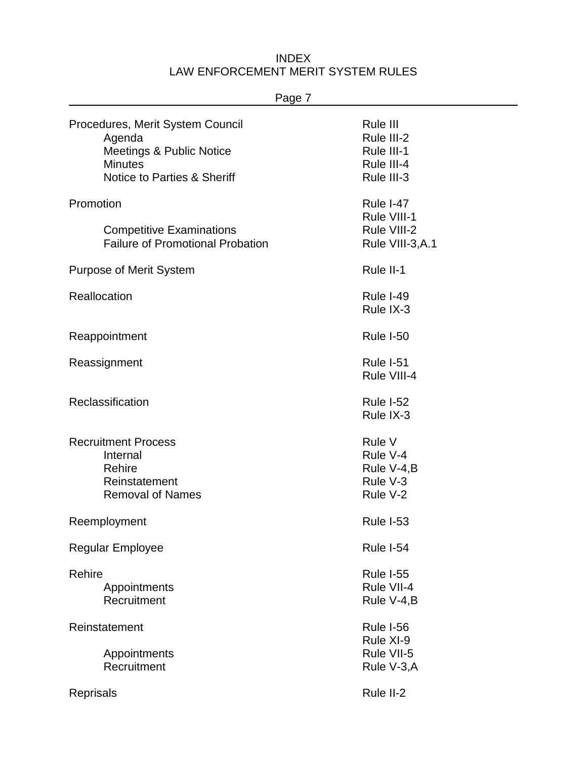| Page /                                                                                                                             |                                                                  |
|------------------------------------------------------------------------------------------------------------------------------------|------------------------------------------------------------------|
| Procedures, Merit System Council<br>Agenda<br><b>Meetings &amp; Public Notice</b><br><b>Minutes</b><br>Notice to Parties & Sheriff | Rule III<br>Rule III-2<br>Rule III-1<br>Rule III-4<br>Rule III-3 |
| Promotion<br><b>Competitive Examinations</b><br><b>Failure of Promotional Probation</b>                                            | Rule I-47<br>Rule VIII-1<br>Rule VIII-2<br>Rule VIII-3, A.1      |
| <b>Purpose of Merit System</b>                                                                                                     | Rule II-1                                                        |
| Reallocation                                                                                                                       | <b>Rule I-49</b><br>Rule IX-3                                    |
| Reappointment                                                                                                                      | <b>Rule I-50</b>                                                 |
| Reassignment                                                                                                                       | Rule I-51<br>Rule VIII-4                                         |
| Reclassification                                                                                                                   | Rule I-52<br>Rule IX-3                                           |
| <b>Recruitment Process</b><br>Internal<br>Rehire<br>Reinstatement<br><b>Removal of Names</b>                                       | Rule V<br>Rule V-4<br>Rule V-4, B<br>Rule V-3<br>Rule V-2        |
| Reemployment                                                                                                                       | <b>Rule I-53</b>                                                 |
| <b>Regular Employee</b>                                                                                                            | Rule I-54                                                        |
| Rehire<br>Appointments<br>Recruitment                                                                                              | <b>Rule I-55</b><br>Rule VII-4<br>Rule V-4, B                    |
| Reinstatement<br>Appointments                                                                                                      | Rule I-56<br>Rule XI-9<br>Rule VII-5                             |
| Recruitment                                                                                                                        | Rule V-3, A                                                      |
| <b>Reprisals</b>                                                                                                                   | Rule II-2                                                        |

# Page 7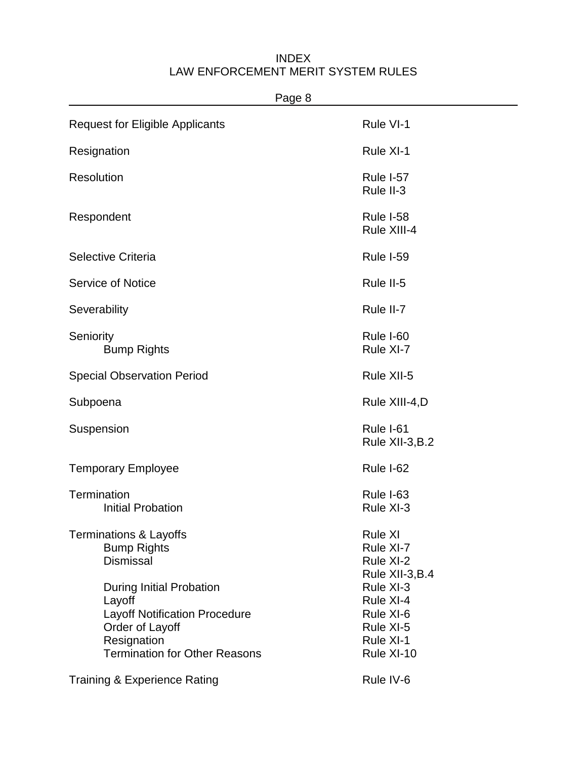| Page 8                                                                                                                                                      |                                                                             |
|-------------------------------------------------------------------------------------------------------------------------------------------------------------|-----------------------------------------------------------------------------|
| <b>Request for Eligible Applicants</b>                                                                                                                      | Rule VI-1                                                                   |
| Resignation                                                                                                                                                 | Rule XI-1                                                                   |
| <b>Resolution</b>                                                                                                                                           | Rule I-57<br>Rule II-3                                                      |
| Respondent                                                                                                                                                  | Rule I-58<br>Rule XIII-4                                                    |
| Selective Criteria                                                                                                                                          | Rule I-59                                                                   |
| <b>Service of Notice</b>                                                                                                                                    | Rule II-5                                                                   |
| Severability                                                                                                                                                | Rule II-7                                                                   |
| Seniority<br><b>Bump Rights</b>                                                                                                                             | Rule I-60<br>Rule XI-7                                                      |
| <b>Special Observation Period</b>                                                                                                                           | Rule XII-5                                                                  |
| Subpoena                                                                                                                                                    | Rule XIII-4,D                                                               |
| Suspension                                                                                                                                                  | Rule I-61<br>Rule XII-3, B.2                                                |
| <b>Temporary Employee</b>                                                                                                                                   | Rule I-62                                                                   |
| <b>Termination</b><br><b>Initial Probation</b>                                                                                                              | Rule I-63<br>Rule XI-3                                                      |
| <b>Terminations &amp; Layoffs</b><br><b>Bump Rights</b><br><b>Dismissal</b>                                                                                 | <b>Rule XI</b><br>Rule XI-7<br>Rule XI-2<br>Rule XII-3, B.4                 |
| <b>During Initial Probation</b><br>Layoff<br><b>Layoff Notification Procedure</b><br>Order of Layoff<br>Resignation<br><b>Termination for Other Reasons</b> | Rule XI-3<br>Rule XI-4<br>Rule XI-6<br>Rule XI-5<br>Rule XI-1<br>Rule XI-10 |
| <b>Training &amp; Experience Rating</b>                                                                                                                     | Rule IV-6                                                                   |